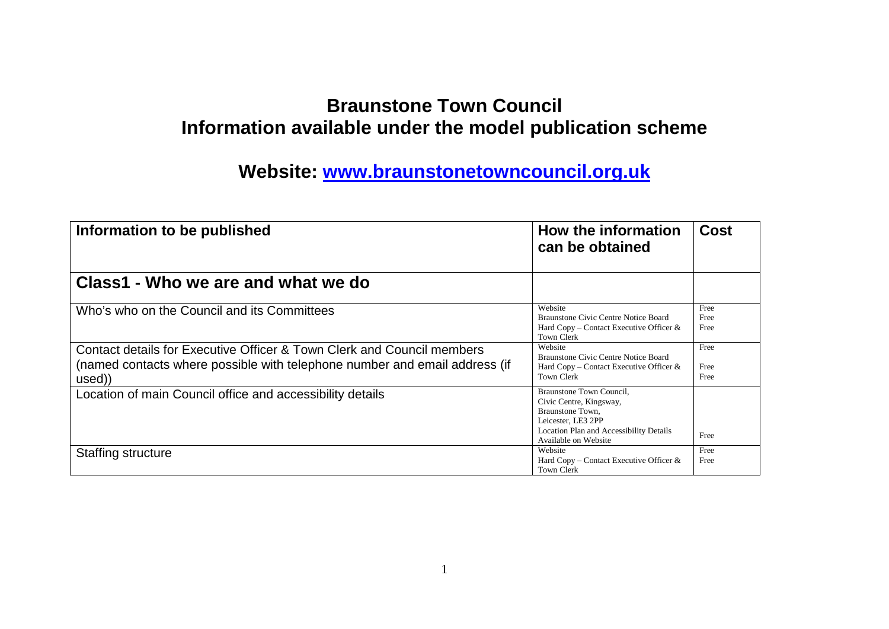## **Braunstone Town Council Information available under the model publication scheme**

## **Website: [www.braunstonetowncouncil.org.uk](http://www.braunstonetowncouncil.org.uk/)**

| Information to be published                                                                                                                                    | How the information<br>can be obtained                                                                                                                           | <b>Cost</b>          |
|----------------------------------------------------------------------------------------------------------------------------------------------------------------|------------------------------------------------------------------------------------------------------------------------------------------------------------------|----------------------|
| Class1 - Who we are and what we do                                                                                                                             |                                                                                                                                                                  |                      |
| Who's who on the Council and its Committees                                                                                                                    | Website<br>Braunstone Civic Centre Notice Board<br>Hard Copy – Contact Executive Officer $\&$<br><b>Town Clerk</b>                                               | Free<br>Free<br>Free |
| Contact details for Executive Officer & Town Clerk and Council members<br>(named contacts where possible with telephone number and email address (if<br>used)) | Website<br>Braunstone Civic Centre Notice Board<br>Hard Copy – Contact Executive Officer $\&$<br>Town Clerk                                                      | Free<br>Free<br>Free |
| Location of main Council office and accessibility details                                                                                                      | Braunstone Town Council.<br>Civic Centre, Kingsway,<br>Braunstone Town,<br>Leicester, LE3 2PP<br>Location Plan and Accessibility Details<br>Available on Website | Free                 |
| Staffing structure                                                                                                                                             | Website<br>Hard Copy – Contact Executive Officer $\&$<br>Town Clerk                                                                                              | Free<br>Free         |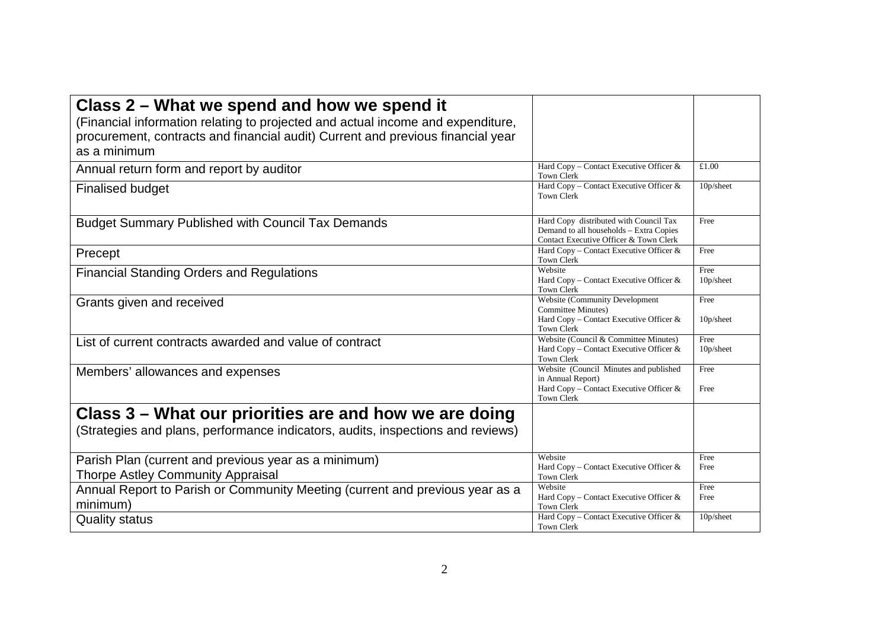| Class 2 – What we spend and how we spend it                                     |                                                                                     |                      |
|---------------------------------------------------------------------------------|-------------------------------------------------------------------------------------|----------------------|
| (Financial information relating to projected and actual income and expenditure, |                                                                                     |                      |
| procurement, contracts and financial audit) Current and previous financial year |                                                                                     |                      |
| as a minimum                                                                    |                                                                                     |                      |
| Annual return form and report by auditor                                        | Hard Copy - Contact Executive Officer &<br>Town Clerk                               | £1.00                |
| <b>Finalised budget</b>                                                         | Hard Copy - Contact Executive Officer &<br><b>Town Clerk</b>                        | 10p/sheet            |
| <b>Budget Summary Published with Council Tax Demands</b>                        | Hard Copy distributed with Council Tax<br>Demand to all households - Extra Copies   | Free                 |
|                                                                                 | Contact Executive Officer & Town Clerk                                              |                      |
| Precept                                                                         | Hard Copy - Contact Executive Officer &<br>Town Clerk                               | Free                 |
| <b>Financial Standing Orders and Regulations</b>                                | Website<br>Hard Copy – Contact Executive Officer $\&$                               | Free<br>10p/sheet    |
|                                                                                 | <b>Town Clerk</b>                                                                   |                      |
| Grants given and received                                                       | Website (Community Development<br><b>Committee Minutes)</b>                         | Free                 |
|                                                                                 | Hard Copy - Contact Executive Officer &                                             | $10p/s$ heet         |
|                                                                                 | <b>Town Clerk</b>                                                                   |                      |
| List of current contracts awarded and value of contract                         | Website (Council & Committee Minutes)<br>Hard Copy – Contact Executive Officer $\&$ | Free<br>$10p/s$ heet |
|                                                                                 | <b>Town Clerk</b>                                                                   |                      |
| Members' allowances and expenses                                                | Website (Council Minutes and published<br>in Annual Report)                         | Free                 |
|                                                                                 | Hard Copy - Contact Executive Officer &                                             | Free                 |
|                                                                                 | <b>Town Clerk</b>                                                                   |                      |
| Class 3 – What our priorities are and how we are doing                          |                                                                                     |                      |
| (Strategies and plans, performance indicators, audits, inspections and reviews) |                                                                                     |                      |
|                                                                                 |                                                                                     |                      |
| Parish Plan (current and previous year as a minimum)                            | Website                                                                             | Free                 |
| <b>Thorpe Astley Community Appraisal</b>                                        | Hard Copy - Contact Executive Officer &<br><b>Town Clerk</b>                        | Free                 |
| Annual Report to Parish or Community Meeting (current and previous year as a    | Website                                                                             | Free                 |
| minimum)                                                                        | Hard Copy - Contact Executive Officer &<br><b>Town Clerk</b>                        | Free                 |
| <b>Quality status</b>                                                           | Hard Copy - Contact Executive Officer &<br><b>Town Clerk</b>                        | 10p/sheet            |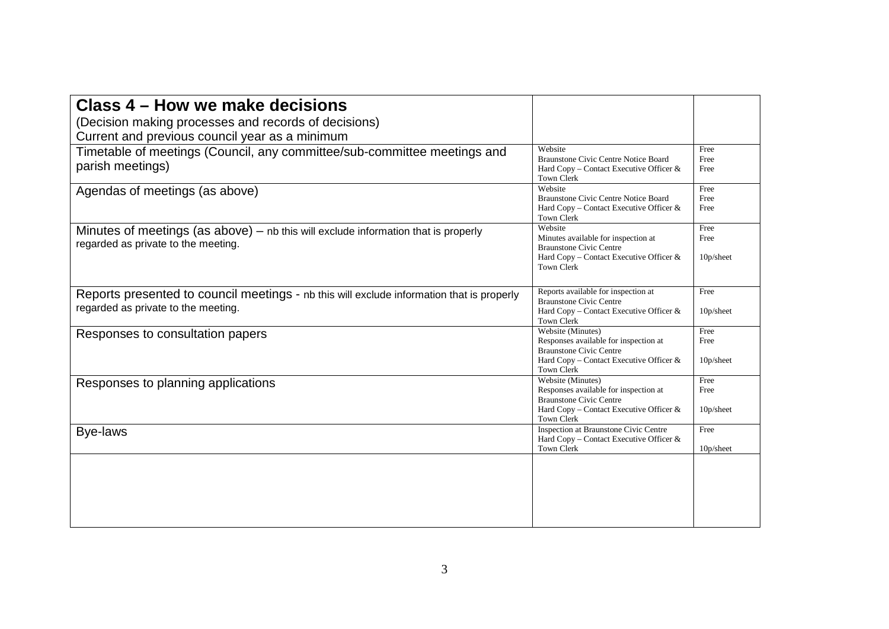| Class 4 – How we make decisions                                                                                                  |                                                                                                                                                              |                           |
|----------------------------------------------------------------------------------------------------------------------------------|--------------------------------------------------------------------------------------------------------------------------------------------------------------|---------------------------|
| (Decision making processes and records of decisions)                                                                             |                                                                                                                                                              |                           |
| Current and previous council year as a minimum                                                                                   |                                                                                                                                                              |                           |
| Timetable of meetings (Council, any committee/sub-committee meetings and<br>parish meetings)                                     | Website<br>Braunstone Civic Centre Notice Board<br>Hard Copy – Contact Executive Officer $\&$<br>Town Clerk                                                  | Free<br>Free<br>Free      |
| Agendas of meetings (as above)                                                                                                   | Website<br>Braunstone Civic Centre Notice Board<br>Hard Copy – Contact Executive Officer &<br>Town Clerk                                                     | Free<br>Free<br>Free      |
| Minutes of meetings (as above) – nb this will exclude information that is properly<br>regarded as private to the meeting.        | Website<br>Minutes available for inspection at<br><b>Braunstone Civic Centre</b><br>Hard Copy – Contact Executive Officer &<br><b>Town Clerk</b>             | Free<br>Free<br>10p/sheet |
| Reports presented to council meetings - nb this will exclude information that is properly<br>regarded as private to the meeting. | Reports available for inspection at<br><b>Braunstone Civic Centre</b><br>Hard Copy - Contact Executive Officer &<br><b>Town Clerk</b>                        | Free<br>10p/sheet         |
| Responses to consultation papers                                                                                                 | Website (Minutes)<br>Responses available for inspection at<br><b>Braunstone Civic Centre</b><br>Hard Copy – Contact Executive Officer $\&$<br>Town Clerk     | Free<br>Free<br>10p/sheet |
| Responses to planning applications                                                                                               | Website (Minutes)<br>Responses available for inspection at<br><b>Braunstone Civic Centre</b><br>Hard Copy – Contact Executive Officer &<br><b>Town Clerk</b> | Free<br>Free<br>10p/sheet |
| Bye-laws                                                                                                                         | Inspection at Braunstone Civic Centre<br>Hard Copy - Contact Executive Officer &<br><b>Town Clerk</b>                                                        | Free<br>10p/sheet         |
|                                                                                                                                  |                                                                                                                                                              |                           |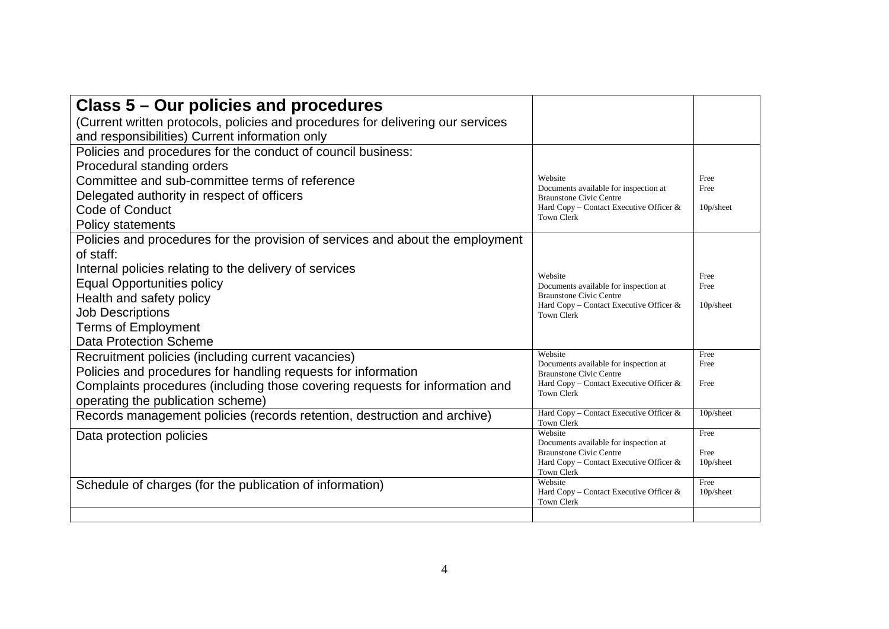| Class 5 – Our policies and procedures                                           |                                                                              |              |
|---------------------------------------------------------------------------------|------------------------------------------------------------------------------|--------------|
| (Current written protocols, policies and procedures for delivering our services |                                                                              |              |
| and responsibilities) Current information only                                  |                                                                              |              |
| Policies and procedures for the conduct of council business:                    |                                                                              |              |
| Procedural standing orders                                                      |                                                                              |              |
| Committee and sub-committee terms of reference                                  | Website<br>Documents available for inspection at                             | Free<br>Free |
| Delegated authority in respect of officers                                      | <b>Braunstone Civic Centre</b>                                               |              |
| Code of Conduct                                                                 | Hard Copy – Contact Executive Officer $\&$<br>Town Clerk                     | $10p/s$ heet |
| <b>Policy statements</b>                                                        |                                                                              |              |
| Policies and procedures for the provision of services and about the employment  |                                                                              |              |
| of staff:                                                                       |                                                                              |              |
| Internal policies relating to the delivery of services                          | Website                                                                      | Free         |
| <b>Equal Opportunities policy</b>                                               | Documents available for inspection at                                        | Free         |
| Health and safety policy                                                        | <b>Braunstone Civic Centre</b><br>Hard Copy – Contact Executive Officer $\&$ | 10p/sheet    |
| <b>Job Descriptions</b>                                                         | <b>Town Clerk</b>                                                            |              |
| <b>Terms of Employment</b>                                                      |                                                                              |              |
| <b>Data Protection Scheme</b>                                                   |                                                                              |              |
| Recruitment policies (including current vacancies)                              | Website<br>Documents available for inspection at                             | Free<br>Free |
| Policies and procedures for handling requests for information                   | <b>Braunstone Civic Centre</b>                                               |              |
| Complaints procedures (including those covering requests for information and    | Hard Copy – Contact Executive Officer $\&$<br><b>Town Clerk</b>              | Free         |
| operating the publication scheme)                                               |                                                                              |              |
| Records management policies (records retention, destruction and archive)        | Hard Copy - Contact Executive Officer &<br><b>Town Clerk</b>                 | 10p/sheet    |
| Data protection policies                                                        | Website                                                                      | Free         |
|                                                                                 | Documents available for inspection at<br><b>Braunstone Civic Centre</b>      | Free         |
|                                                                                 | Hard Copy – Contact Executive Officer $\&$                                   | 10p/sheet    |
| Schedule of charges (for the publication of information)                        | <b>Town Clerk</b><br>Website                                                 | Free         |
|                                                                                 | Hard Copy – Contact Executive Officer $\&$<br><b>Town Clerk</b>              | 10p/sheet    |
|                                                                                 |                                                                              |              |
|                                                                                 |                                                                              |              |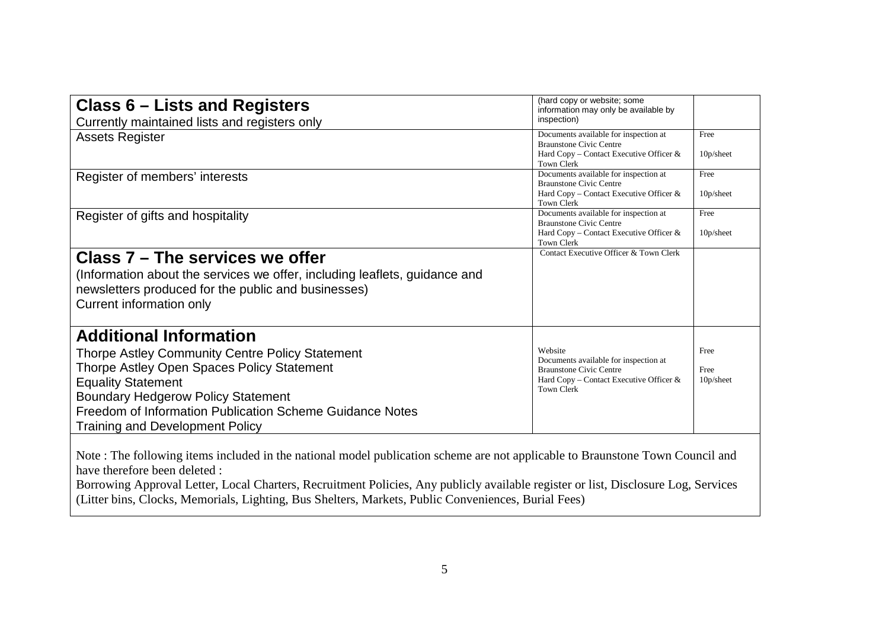| Class 6 – Lists and Registers                                                                                                                                 | (hard copy or website; some<br>information may only be available by<br>inspection) |              |
|---------------------------------------------------------------------------------------------------------------------------------------------------------------|------------------------------------------------------------------------------------|--------------|
| Currently maintained lists and registers only                                                                                                                 | Documents available for inspection at                                              | Free         |
| <b>Assets Register</b>                                                                                                                                        | <b>Braunstone Civic Centre</b>                                                     |              |
|                                                                                                                                                               | Hard Copy – Contact Executive Officer $\&$<br><b>Town Clerk</b>                    | $10p/s$ heet |
| Register of members' interests                                                                                                                                | Documents available for inspection at<br><b>Braunstone Civic Centre</b>            | Free         |
|                                                                                                                                                               | Hard Copy – Contact Executive Officer $\&$<br><b>Town Clerk</b>                    | 10p/sheet    |
| Register of gifts and hospitality                                                                                                                             | Documents available for inspection at<br><b>Braunstone Civic Centre</b>            | Free         |
|                                                                                                                                                               | Hard Copy – Contact Executive Officer $\&$                                         | $10p/s$ heet |
|                                                                                                                                                               | <b>Town Clerk</b>                                                                  |              |
| Class 7 – The services we offer                                                                                                                               | Contact Executive Officer & Town Clerk                                             |              |
| (Information about the services we offer, including leaflets, guidance and<br>newsletters produced for the public and businesses)<br>Current information only |                                                                                    |              |
| <b>Additional Information</b>                                                                                                                                 |                                                                                    |              |
| <b>Thorpe Astley Community Centre Policy Statement</b>                                                                                                        | Website                                                                            | Free         |
| Thorpe Astley Open Spaces Policy Statement                                                                                                                    | Documents available for inspection at<br><b>Braunstone Civic Centre</b>            | Free         |
| <b>Equality Statement</b>                                                                                                                                     | Hard Copy - Contact Executive Officer &                                            | $10p/s$ heet |
| <b>Boundary Hedgerow Policy Statement</b>                                                                                                                     | <b>Town Clerk</b>                                                                  |              |
| Freedom of Information Publication Scheme Guidance Notes                                                                                                      |                                                                                    |              |
| <b>Training and Development Policy</b>                                                                                                                        |                                                                                    |              |
|                                                                                                                                                               |                                                                                    |              |

Note : The following items included in the national model publication scheme are not applicable to Braunstone Town Council and have therefore been deleted :

Borrowing Approval Letter, Local Charters, Recruitment Policies, Any publicly available register or list, Disclosure Log, Services (Litter bins, Clocks, Memorials, Lighting, Bus Shelters, Markets, Public Conveniences, Burial Fees)